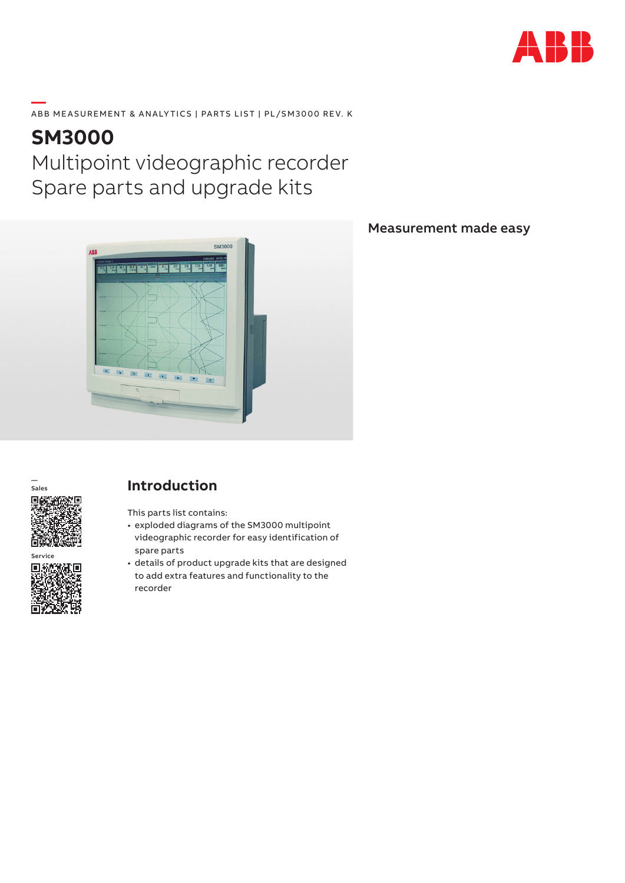

#### **—**  ABB MEASUREMENT & ANALYTICS | PARTS LIST | PL/SM3000 REV. K

# **SM3000** Multipoint videographic recorder Spare parts and upgrade kits



#### Measurement made easy



Service回游 П

### **Introduction**

This parts list contains:

- exploded diagrams of the SM3000 multipoint videographic recorder for easy identification of spare parts
- details of product upgrade kits that are designed to add extra features and functionality to the recorder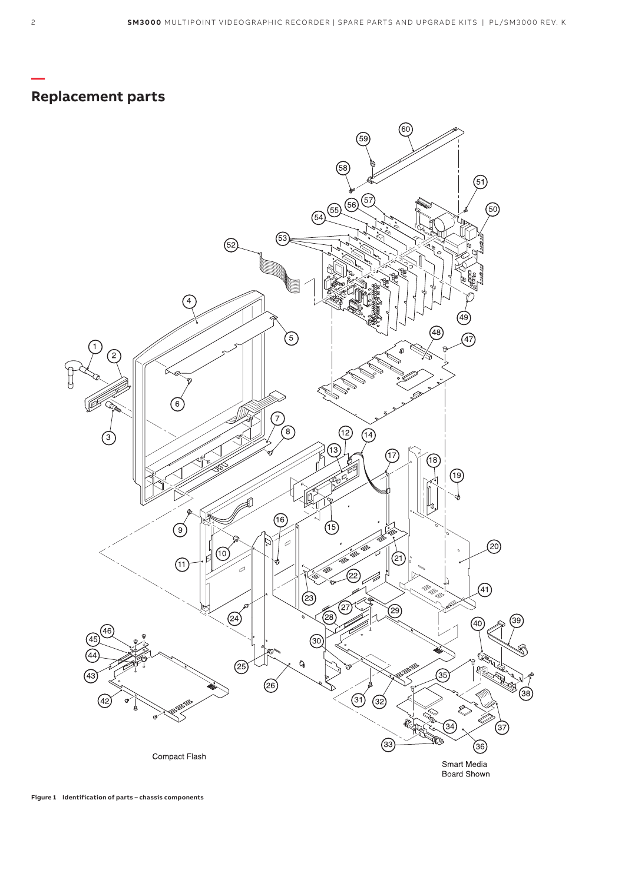### **Replacement parts**

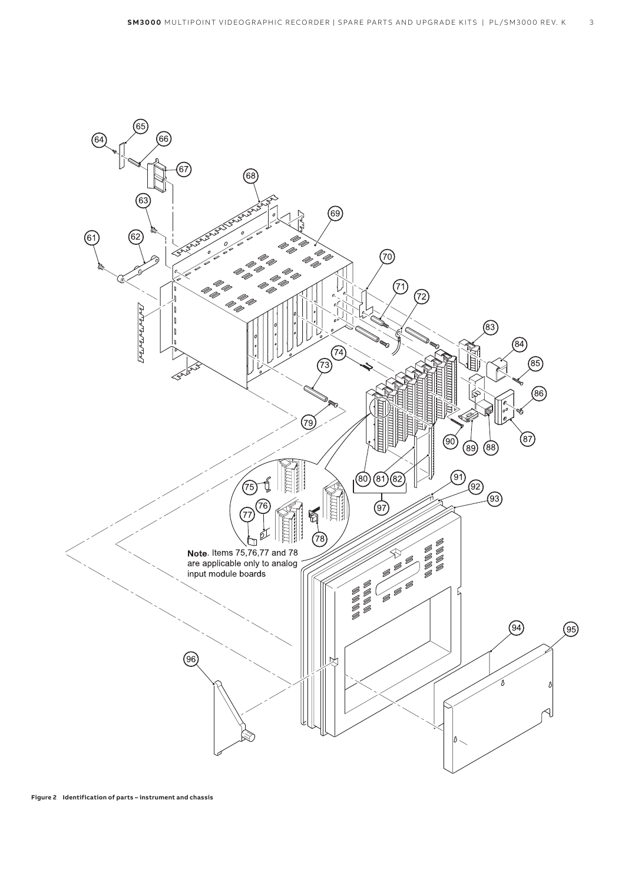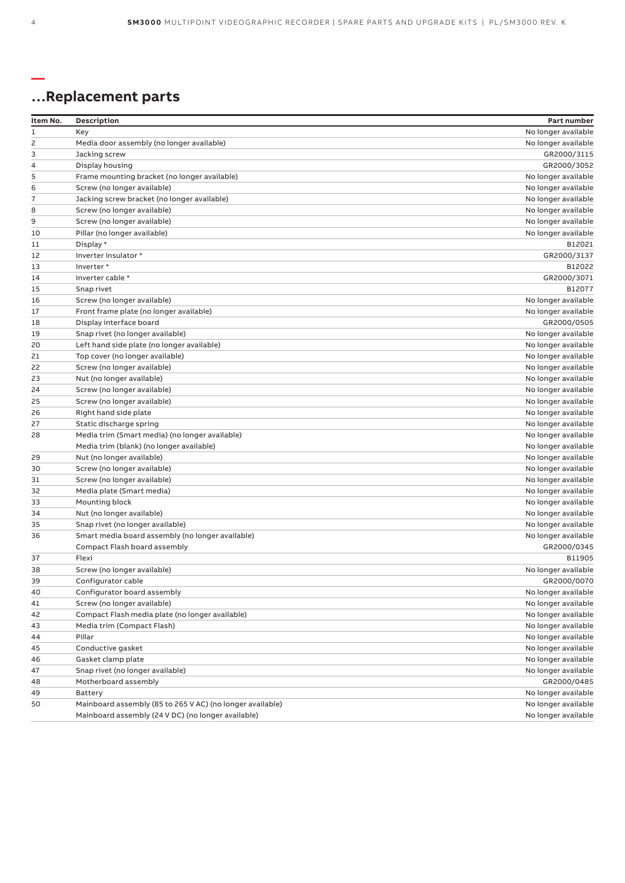# **…Replacement parts**

| Item No.       | Description                                               | Part number         |
|----------------|-----------------------------------------------------------|---------------------|
| 1              | Key                                                       | No longer available |
| 2              | Media door assembly (no longer available)                 | No longer available |
| 3              | Jacking screw                                             | GR2000/3115         |
| $\overline{4}$ | Display housing                                           | GR2000/3052         |
| 5              | Frame mounting bracket (no longer available)              | No longer available |
| 6              | Screw (no longer available)                               | No longer available |
| $\overline{7}$ | Jacking screw bracket (no longer available)               | No longer available |
| 8              | Screw (no longer available)                               | No longer available |
| 9              | Screw (no longer available)                               | No longer available |
| 10             | Pillar (no longer available)                              | No longer available |
| 11             | Display *                                                 | B12021              |
| 12             | Inverter insulator *                                      | GR2000/3137         |
| 13             | Inverter*                                                 | B12022              |
| 14             | Inverter cable *                                          | GR2000/3071         |
| 15             | Snap rivet                                                | B12077              |
| 16             | Screw (no longer available)                               | No longer available |
| 17             | Front frame plate (no longer available)                   | No longer available |
| 18             | Display interface board                                   | GR2000/0505         |
| 19             | Snap rivet (no longer available)                          | No longer available |
| 20             | Left hand side plate (no longer available)                | No longer available |
| 21             | Top cover (no longer available)                           | No longer available |
| 22             | Screw (no longer available)                               | No longer available |
| 23             | Nut (no longer available)                                 | No longer available |
| 24             | Screw (no longer available)                               | No longer available |
| 25             | Screw (no longer available)                               | No longer available |
| 26             | Right hand side plate                                     | No longer available |
| 27             | Static discharge spring                                   | No longer available |
| 28             | Media trim (Smart media) (no longer available)            | No longer available |
|                | Media trim (blank) (no longer available)                  | No longer available |
| 29             | Nut (no longer available)                                 | No longer available |
| 30             | Screw (no longer available)                               | No longer available |
| 31             | Screw (no longer available)                               | No longer available |
| 32             | Media plate (Smart media)                                 | No longer available |
| 33             | Mounting block                                            | No longer available |
| 34             | Nut (no longer available)                                 | No longer available |
| 35             | Snap rivet (no longer available)                          | No longer available |
| 36             | Smart media board assembly (no longer available)          | No longer available |
|                | Compact Flash board assembly                              | GR2000/0345         |
| 37             | Flexi                                                     | B11905              |
| 38             | Screw (no longer available)                               | No longer available |
| 39             | Configurator cable                                        | GR2000/0070         |
| 40             | Configurator board assembly                               | No longer available |
| 41             | Screw (no longer available)                               | No longer available |
| 42             | Compact Flash media plate (no longer available)           | No longer available |
| 43             | Media trim (Compact Flash)                                | No longer available |
| 44             | Pillar                                                    | No longer available |
| 45             | Conductive gasket                                         | No longer available |
| 46             | Gasket clamp plate                                        | No longer available |
| 47             | Snap rivet (no longer available)                          | No longer available |
| 48             | Motherboard assembly                                      | GR2000/0485         |
| 49             | <b>Battery</b>                                            | No longer available |
| 50             | Mainboard assembly (85 to 265 V AC) (no longer available) | No longer available |
|                | Mainboard assembly (24 V DC) (no longer available)        | No longer available |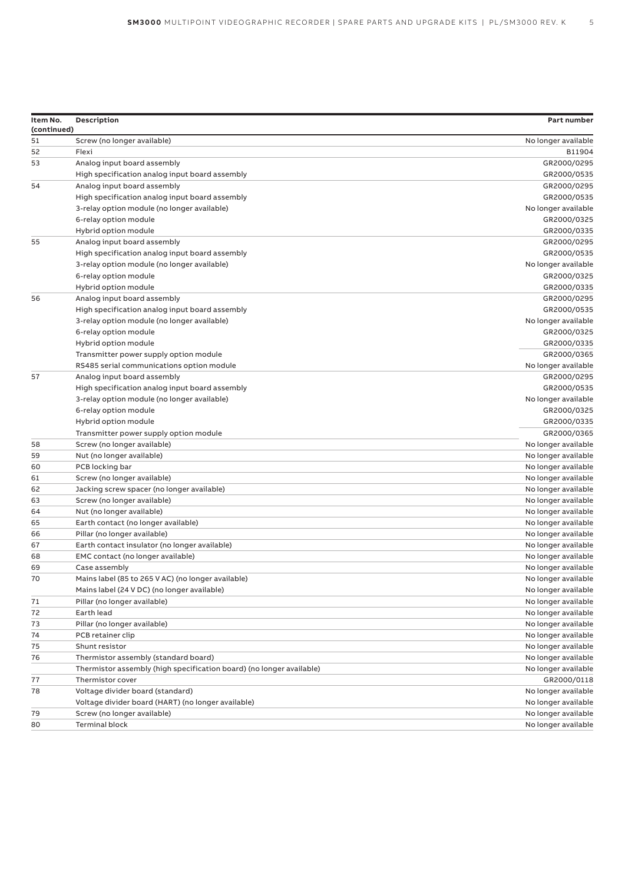| Item No.<br>(continued) | Description                                                          | Part number                                |
|-------------------------|----------------------------------------------------------------------|--------------------------------------------|
| 51                      | Screw (no longer available)                                          | No longer available                        |
| 52                      | Flexi                                                                | B11904                                     |
| 53                      | Analog input board assembly                                          | GR2000/0295                                |
|                         | High specification analog input board assembly                       | GR2000/0535                                |
| 54                      | Analog input board assembly                                          | GR2000/0295                                |
|                         | High specification analog input board assembly                       | GR2000/0535                                |
|                         | 3-relay option module (no longer available)                          | No longer available                        |
|                         | 6-relay option module                                                | GR2000/0325                                |
|                         | Hybrid option module                                                 | GR2000/0335                                |
| 55                      | Analog input board assembly                                          | GR2000/0295                                |
|                         | High specification analog input board assembly                       | GR2000/0535                                |
|                         | 3-relay option module (no longer available)                          | No longer available                        |
|                         | 6-relay option module                                                | GR2000/0325                                |
|                         | Hybrid option module                                                 | GR2000/0335                                |
| 56                      | Analog input board assembly                                          | GR2000/0295                                |
|                         | High specification analog input board assembly                       | GR2000/0535                                |
|                         | 3-relay option module (no longer available)                          | No longer available                        |
|                         | 6-relay option module                                                | GR2000/0325                                |
|                         | Hybrid option module                                                 | GR2000/0335                                |
|                         | Transmitter power supply option module                               | GR2000/0365                                |
|                         | RS485 serial communications option module                            | No longer available                        |
| 57                      | Analog input board assembly                                          | GR2000/0295                                |
|                         | High specification analog input board assembly                       | GR2000/0535                                |
|                         | 3-relay option module (no longer available)                          | No longer available                        |
|                         | 6-relay option module                                                | GR2000/0325                                |
|                         | Hybrid option module                                                 | GR2000/0335                                |
|                         | Transmitter power supply option module                               | GR2000/0365                                |
| 58                      | Screw (no longer available)                                          | No longer available                        |
| 59                      | Nut (no longer available)                                            | No longer available                        |
| 60                      | PCB locking bar                                                      | No longer available                        |
| 61                      | Screw (no longer available)                                          | No longer available                        |
| 62                      | Jacking screw spacer (no longer available)                           | No longer available                        |
| 63                      | Screw (no longer available)                                          | No longer available                        |
| 64                      | Nut (no longer available)                                            | No longer available                        |
| 65                      | Earth contact (no longer available)                                  | No longer available                        |
| 66                      | Pillar (no longer available)                                         | No longer available                        |
| 67                      | Earth contact insulator (no longer available)                        | No longer available                        |
| 68                      |                                                                      |                                            |
|                         | EMC contact (no longer available)                                    | No longer available                        |
| 69<br>70                | Case assembly                                                        | No longer available                        |
|                         | Mains label (85 to 265 V AC) (no longer available)                   | No longer available                        |
| $71\,$                  | Mains label (24 V DC) (no longer available)                          | No longer available<br>No longer available |
|                         | Pillar (no longer available)                                         |                                            |
| 72                      | Earth lead                                                           | No longer available                        |
| 73                      | Pillar (no longer available)                                         | No longer available                        |
| 74                      | PCB retainer clip                                                    | No longer available                        |
| 75                      | Shunt resistor                                                       | No longer available                        |
| 76                      | Thermistor assembly (standard board)                                 | No longer available                        |
|                         | Thermistor assembly (high specification board) (no longer available) | No longer available                        |
| 77                      | Thermistor cover                                                     | GR2000/0118                                |
| 78                      | Voltage divider board (standard)                                     | No longer available                        |
|                         | Voltage divider board (HART) (no longer available)                   | No longer available                        |
| 79                      | Screw (no longer available)                                          | No longer available                        |
| 80                      | <b>Terminal block</b>                                                | No longer available                        |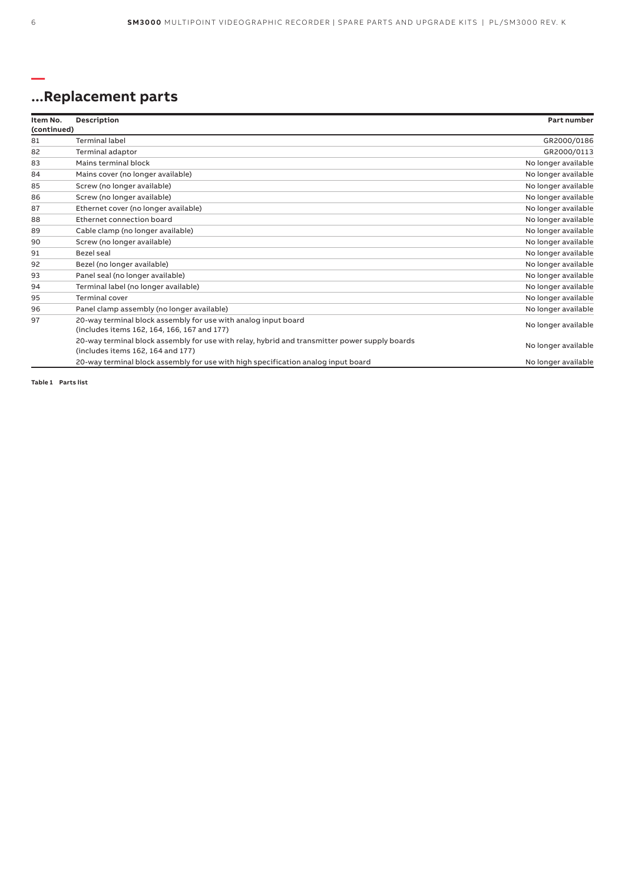## **...Replacement parts**

| Item No.    | Description                                                                                                                        | Part number         |
|-------------|------------------------------------------------------------------------------------------------------------------------------------|---------------------|
| (continued) |                                                                                                                                    |                     |
| 81          | <b>Terminal label</b>                                                                                                              | GR2000/0186         |
| 82          | Terminal adaptor                                                                                                                   | GR2000/0113         |
| 83          | Mains terminal block                                                                                                               | No longer available |
| 84          | Mains cover (no longer available)                                                                                                  | No longer available |
| 85          | Screw (no longer available)                                                                                                        | No longer available |
| 86          | Screw (no longer available)                                                                                                        | No longer available |
| 87          | Ethernet cover (no longer available)                                                                                               | No longer available |
| 88          | Ethernet connection board                                                                                                          | No longer available |
| 89          | Cable clamp (no longer available)                                                                                                  | No longer available |
| 90          | Screw (no longer available)                                                                                                        | No longer available |
| 91          | Bezel seal                                                                                                                         | No longer available |
| 92          | Bezel (no longer available)                                                                                                        | No longer available |
| 93          | Panel seal (no longer available)                                                                                                   | No longer available |
| 94          | Terminal label (no longer available)                                                                                               | No longer available |
| 95          | <b>Terminal cover</b>                                                                                                              | No longer available |
| 96          | Panel clamp assembly (no longer available)                                                                                         | No longer available |
| 97          | 20-way terminal block assembly for use with analog input board<br>(includes items 162, 164, 166, 167 and 177)                      | No longer available |
|             | 20-way terminal block assembly for use with relay, hybrid and transmitter power supply boards<br>(includes items 162, 164 and 177) | No longer available |
|             | 20-way terminal block assembly for use with high specification analog input board                                                  | No longer available |

**Table 1 Parts list**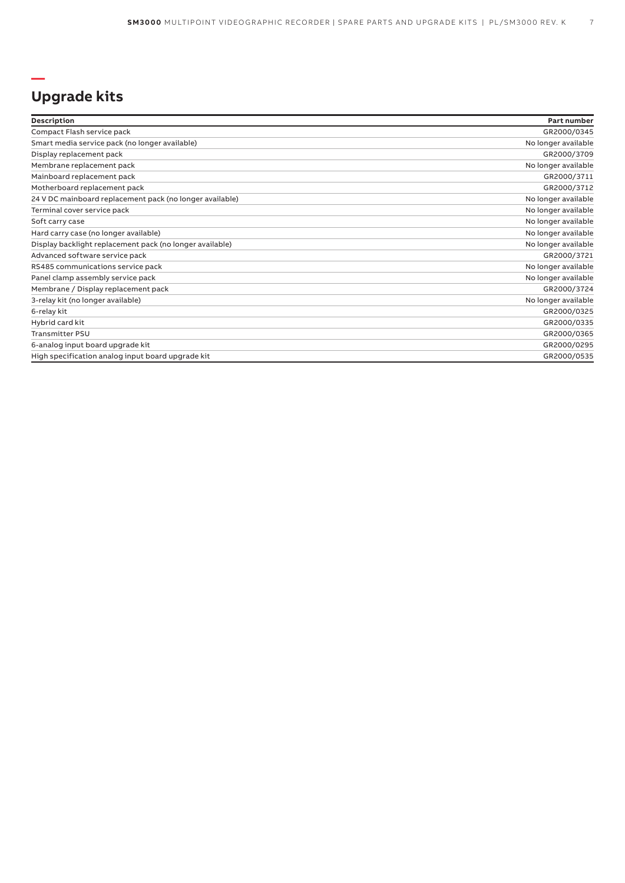#### **— Upgrade kits**

| Description                                              | Part number         |
|----------------------------------------------------------|---------------------|
| Compact Flash service pack                               | GR2000/0345         |
| Smart media service pack (no longer available)           | No longer available |
| Display replacement pack                                 | GR2000/3709         |
| Membrane replacement pack                                | No longer available |
| Mainboard replacement pack                               | GR2000/3711         |
| Motherboard replacement pack                             | GR2000/3712         |
| 24 V DC mainboard replacement pack (no longer available) | No longer available |
| Terminal cover service pack                              | No longer available |
| Soft carry case                                          | No longer available |
| Hard carry case (no longer available)                    | No longer available |
| Display backlight replacement pack (no longer available) | No longer available |
| Advanced software service pack                           | GR2000/3721         |
| RS485 communications service pack                        | No longer available |
| Panel clamp assembly service pack                        | No longer available |
| Membrane / Display replacement pack                      | GR2000/3724         |
| 3-relay kit (no longer available)                        | No longer available |
| 6-relay kit                                              | GR2000/0325         |
| Hybrid card kit                                          | GR2000/0335         |
| <b>Transmitter PSU</b>                                   | GR2000/0365         |
| 6-analog input board upgrade kit                         | GR2000/0295         |
| High specification analog input board upgrade kit        | GR2000/0535         |